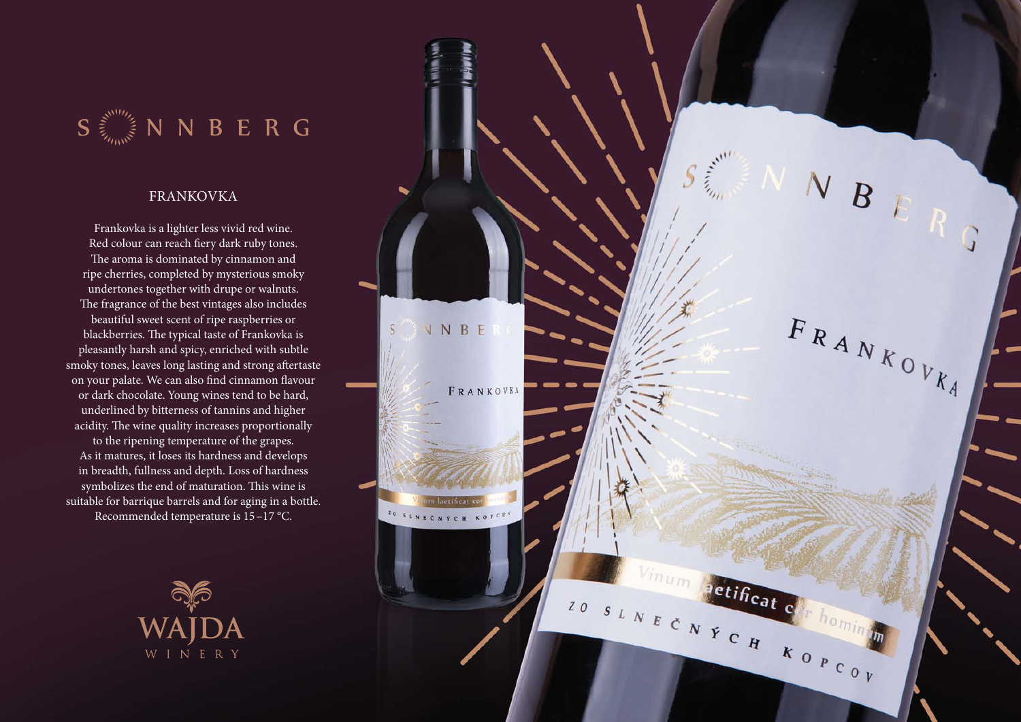$S \stackrel{\geq}{\leq} N N B E R G$ 

## FRANKOVKA

Frankovka is a lighter less vivid red wine. Red colour can reach fiery dark ruby tones. The aroma is dominated by cinnamon and ripe cherries, completed by mysterious smoky undertones together with drupe or walnuts. The fragrance of the best vintages also includes beautiful sweet scent of ripe raspberries or blackberries. The typical taste of Frankovka is pleasantly harsh and spicy, enriched with subtle smoky tones, leaves long lasting and strong aftertaste on your palate. We can also find cinnamon flavour or dark chocolate. Young wines tend to be hard, underlined by bitterness of tannins and higher acidity. The wine quality increases proportionally to the ripening temperature of the grapes. As it matures, it loses its hardness and develops in breadth, fullness and depth. Loss of hardness symbolizes the end of maturation. This wine is suitable for barrique barrels and for aging in a bottle. Recommended temperature is 15 –17 °C.